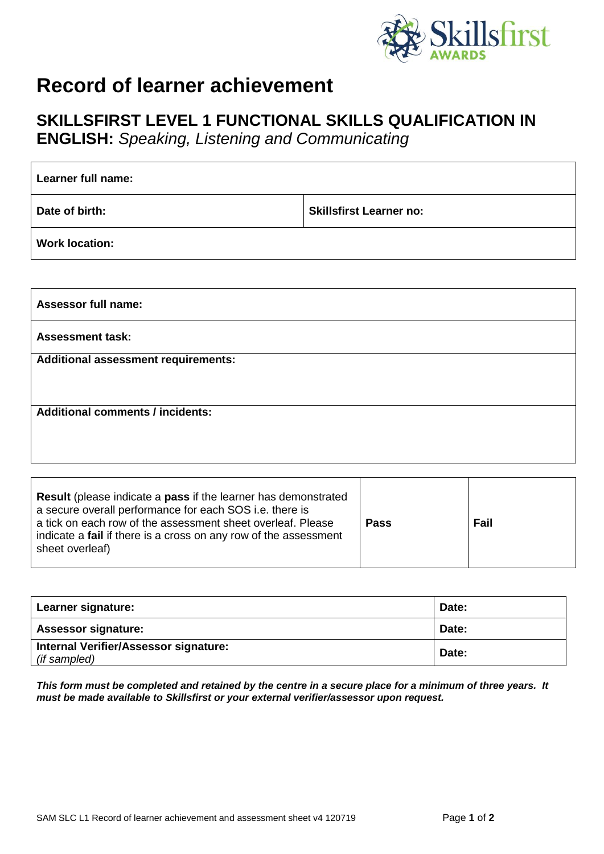

## **Record of learner achievement**

## **SKILLSFIRST LEVEL 1 FUNCTIONAL SKILLS QUALIFICATION IN**

**ENGLISH:** *Speaking, Listening and Communicating*

| Learner full name:         |                                |  |
|----------------------------|--------------------------------|--|
| Date of birth:             | <b>Skillsfirst Learner no:</b> |  |
| <b>Work location:</b>      |                                |  |
|                            |                                |  |
| <b>Assessor full name:</b> |                                |  |
| <b>Assessment task:</b>    |                                |  |

**Additional assessment requirements:**

**Additional comments / incidents:**

| <b>Result</b> (please indicate a <b>pass</b> if the learner has demonstrated<br>a secure overall performance for each SOS i.e. there is<br>a tick on each row of the assessment sheet overleaf. Please<br>indicate a <b>fail</b> if there is a cross on any row of the assessment<br>sheet overleaf) | <b>Pass</b> | Fail |
|------------------------------------------------------------------------------------------------------------------------------------------------------------------------------------------------------------------------------------------------------------------------------------------------------|-------------|------|
|------------------------------------------------------------------------------------------------------------------------------------------------------------------------------------------------------------------------------------------------------------------------------------------------------|-------------|------|

| Learner signature:                                           | Date: |
|--------------------------------------------------------------|-------|
| <b>Assessor signature:</b>                                   | Date: |
| <b>Internal Verifier/Assessor signature:</b><br>(if sampled) | Date: |

*This form must be completed and retained by the centre in a secure place for a minimum of three years. It must be made available to Skillsfirst or your external verifier/assessor upon request.*